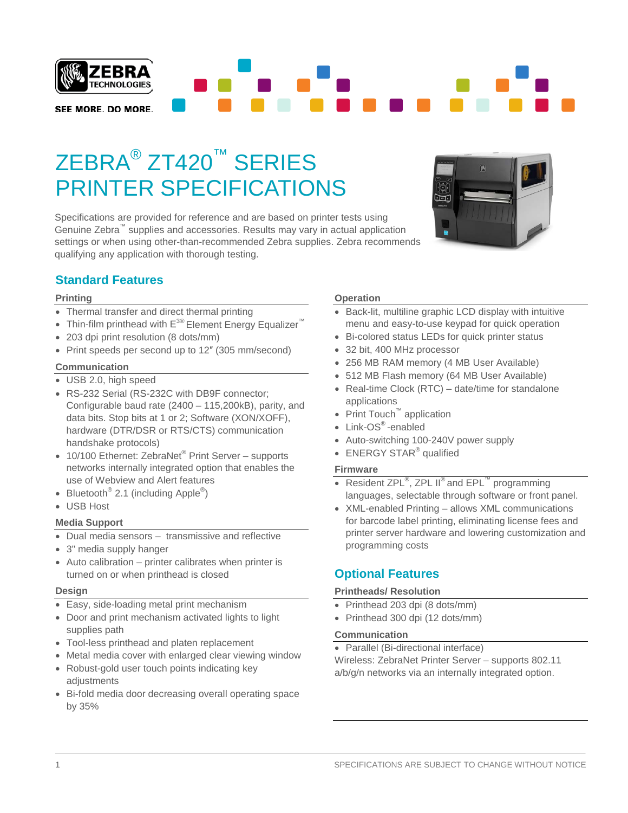

# ZEBRA® ZT420™ SERIES PRINTER SPECIFICATIONS

Specifications are provided for reference and are based on printer tests using Genuine Zebra™ supplies and accessories. Results may vary in actual application settings or when using other-than-recommended Zebra supplies. Zebra recommends qualifying any application with thorough testing.



# **Standard Features**

### **Printing**

- Thermal transfer and direct thermal printing
- Thin-film printhead with  $E^{30}$  Element Energy Equalizer<sup>™</sup>
- 203 dpi print resolution (8 dots/mm)
- Print speeds per second up to 12″ (305 mm/second)

### **Communication**

- USB 2.0, high speed
- RS-232 Serial (RS-232C with DB9F connector; Configurable baud rate (2400 – 115,200kB), parity, and data bits. Stop bits at 1 or 2; Software (XON/XOFF), hardware (DTR/DSR or RTS/CTS) communication handshake protocols)
- 10/100 Ethernet: ZebraNet<sup>®</sup> Print Server supports networks internally integrated option that enables the use of Webview and Alert features
- Bluetooth<sup>®</sup> 2.1 (including Apple<sup>®</sup>)
- USB Host

### **Media Support**

- Dual media sensors transmissive and reflective
- 3" media supply hanger
- Auto calibration printer calibrates when printer is turned on or when printhead is closed

### **Design**

- Easy, side-loading metal print mechanism
- Door and print mechanism activated lights to light supplies path
- Tool-less printhead and platen replacement
- Metal media cover with enlarged clear viewing window
- Robust-gold user touch points indicating key adjustments
- Bi-fold media door decreasing overall operating space by 35%

### **Operation**

- Back-lit, multiline graphic LCD display with intuitive menu and easy-to-use keypad for quick operation
- Bi-colored status LEDs for quick printer status
- 32 bit, 400 MHz processor
- 256 MB RAM memory (4 MB User Available)
- 512 MB Flash memory (64 MB User Available)
- Real-time Clock (RTC) date/time for standalone applications
- Print Touch™ application
- Link-OS®-enabled
- Auto-switching 100-240V power supply
- ENERGY STAR<sup>®</sup> qualified

### **Firmware**

- Resident ZPL<sup>®</sup>, ZPL II<sup>®</sup> and  $EPL^{\mathbb{M}}$  programming languages, selectable through software or front panel.
- XML-enabled Printing allows XML communications for barcode label printing, eliminating license fees and printer server hardware and lowering customization and programming costs

# **Optional Features**

### **Printheads/ Resolution**

- Printhead 203 dpi (8 dots/mm)
- Printhead 300 dpi (12 dots/mm)

### **Communication**

• Parallel (Bi-directional interface)

Wireless: ZebraNet Printer Server – supports 802.11 a/b/g/n networks via an internally integrated option.

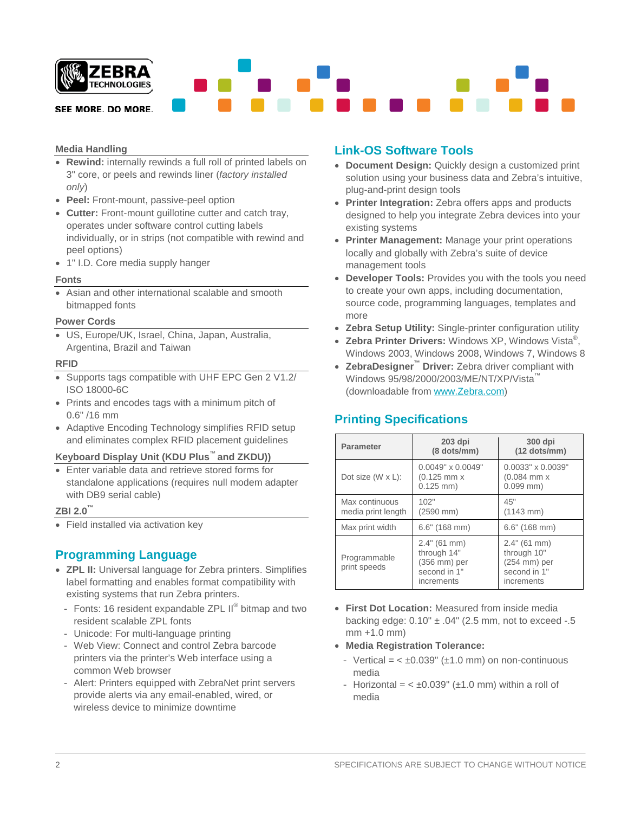

# **Media Handling**

- **Rewind:** internally rewinds a full roll of printed labels on 3" core, or peels and rewinds liner (*factory installed only*)
- **Peel:** Front-mount, passive-peel option
- **Cutter:** Front-mount guillotine cutter and catch tray, operates under software control cutting labels individually, or in strips (not compatible with rewind and peel options)
- 1" I.D. Core media supply hanger

### **Fonts**

• Asian and other international scalable and smooth bitmapped fonts

#### **Power Cords**

• US, Europe/UK, Israel, China, Japan, Australia, Argentina, Brazil and Taiwan

#### **RFID**

- Supports tags compatible with UHF EPC Gen 2 V1.2/ ISO 18000-6C
- Prints and encodes tags with a minimum pitch of 0.6" /16 mm
- Adaptive Encoding Technology simplifies RFID setup and eliminates complex RFID placement guidelines

### **Keyboard Display Unit (KDU Plus**™ **and ZKDU))**

• Enter variable data and retrieve stored forms for standalone applications (requires null modem adapter with DB9 serial cable)

### **ZBI 2.0™**

• Field installed via activation key

# **Programming Language**

- **ZPL II:** Universal language for Zebra printers. Simplifies label formatting and enables format compatibility with existing systems that run Zebra printers.
	- Fonts: 16 resident expandable ZPL II<sup>®</sup> bitmap and two resident scalable ZPL fonts
	- Unicode: For multi-language printing
	- Web View: Connect and control Zebra barcode printers via the printer's Web interface using a common Web browser
	- Alert: Printers equipped with ZebraNet print servers provide alerts via any email-enabled, wired, or wireless device to minimize downtime

### **Link-OS Software Tools**

- **Document Design:** Quickly design a customized print solution using your business data and Zebra's intuitive, plug-and-print design tools
- **Printer Integration:** Zebra offers apps and products designed to help you integrate Zebra devices into your existing systems
- **Printer Management:** Manage your print operations locally and globally with Zebra's suite of device management tools
- **Developer Tools:** Provides you with the tools you need to create your own apps, including documentation, source code, programming languages, templates and more
- **Zebra Setup Utility:** Single-printer configuration utility
- **Zebra Printer Drivers:** Windows XP, Windows Vista® , Windows 2003, Windows 2008, Windows 7, Windows 8
- **ZebraDesigner™ Driver:** Zebra driver compliant with Windows 95/98/2000/2003/ME/NT/XP/Vista<sup>™</sup> (downloadable from [www.Zebra.com\)](http://www.zebra.com/)

# **Printing Specifications**

| <b>Parameter</b>                     | $203$ dpi<br>(8 dots/mm)                                                  | 300 dpi<br>$(12$ dots/mm)                                                   |  |  |
|--------------------------------------|---------------------------------------------------------------------------|-----------------------------------------------------------------------------|--|--|
| Dot size $(W \times L)$ :            | $0.0049" \times 0.0049"$<br>$(0.125$ mm $x$<br>$0.125$ mm)                | $0.0033" \times 0.0039"$<br>$(0.084$ mm $x$<br>$0.099$ mm)                  |  |  |
| Max continuous<br>media print length | 102"<br>$(2590$ mm $)$                                                    | 45"<br>$(1143 \, \text{mm})$                                                |  |  |
| Max print width                      | $6.6"$ (168 mm)                                                           | $6.6"$ (168 mm)                                                             |  |  |
| Programmable<br>print speeds         | 2.4" (61 mm)<br>through 14"<br>(356 mm) per<br>second in 1"<br>increments | $2.4"$ (61 mm)<br>through 10"<br>(254 mm) per<br>second in 1"<br>increments |  |  |

- **First Dot Location:** Measured from inside media backing edge:  $0.10" \pm .04"$  (2.5 mm, not to exceed -.5 mm +1.0 mm)
- **Media Registration Tolerance:** 
	- Vertical =  $<\pm 0.039$ " ( $\pm 1.0$  mm) on non-continuous media
	- Horizontal =  $< \pm 0.039$ " ( $\pm 1.0$  mm) within a roll of media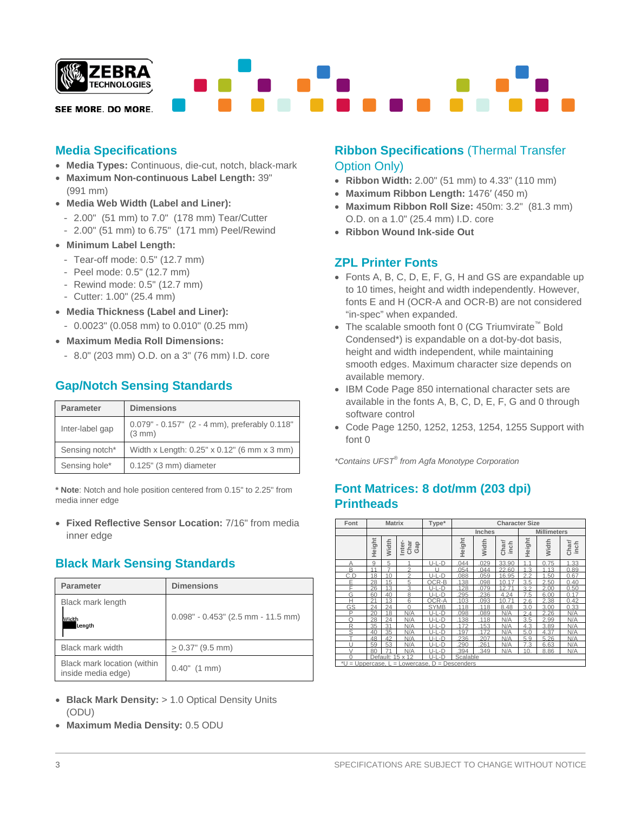

# **Media Specifications**

- **Media Types:** Continuous, die-cut, notch, black-mark
- **Maximum Non-continuous Label Length:** 39" (991 mm)
- **Media Web Width (Label and Liner):**
	- 2.00" (51 mm) to 7.0" (178 mm) Tear/Cutter
	- 2.00" (51 mm) to 6.75" (171 mm) Peel/Rewind
- **Minimum Label Length:**
	- Tear-off mode: 0.5" (12.7 mm)
	- Peel mode: 0.5" (12.7 mm)
	- Rewind mode: 0.5" (12.7 mm)
	- Cutter: 1.00" (25.4 mm)
- **Media Thickness (Label and Liner):**
	- 0.0023" (0.058 mm) to 0.010" (0.25 mm)
- **Maximum Media Roll Dimensions:**
	- 8.0" (203 mm) O.D. on a 3" (76 mm) I.D. core

# **Gap/Notch Sensing Standards**

| <b>Parameter</b> | <b>Dimensions</b>                                       |  |  |
|------------------|---------------------------------------------------------|--|--|
| Inter-label gap  | 0.079" - 0.157" (2 - 4 mm), preferably 0.118"<br>(3 mm) |  |  |
| Sensing notch*   | Width x Length: 0.25" x 0.12" (6 mm x 3 mm)             |  |  |
| Sensing hole*    | $0.125$ " (3 mm) diameter                               |  |  |

**\* Note**: Notch and hole position centered from 0.15" to 2.25" from media inner edge

• **Fixed Reflective Sensor Location:** 7/16" from media inner edge

# **Black Mark Sensing Standards**

| <b>Parameter</b>                                  | <b>Dimensions</b>                    |  |  |  |  |
|---------------------------------------------------|--------------------------------------|--|--|--|--|
| Black mark length<br>Width<br>Length              | $0.098" - 0.453"$ (2.5 mm - 11.5 mm) |  |  |  |  |
| Black mark width                                  | $> 0.37$ " (9.5 mm)                  |  |  |  |  |
| Black mark location (within<br>inside media edge) | $0.40"$ (1 mm)                       |  |  |  |  |

- **Black Mark Density:** > 1.0 Optical Density Units (ODU)
- **Maximum Media Density:** 0.5 ODU

### **Ribbon Specifications** (Thermal Transfer Option Only)

- **Ribbon Width:** 2.00" (51 mm) to 4.33" (110 mm)
- **Maximum Ribbon Length:** 1476′ (450 m)
- **Maximum Ribbon Roll Size:** 450m: 3.2" (81.3 mm) O.D. on a 1.0" (25.4 mm) I.D. core
- **Ribbon Wound Ink-side Out**

# **ZPL Printer Fonts**

- Fonts A, B, C, D, E, F, G, H and GS are expandable up to 10 times, height and width independently. However, fonts E and H (OCR-A and OCR-B) are not considered "in-spec" when expanded.
- The scalable smooth font 0 (CG Triumvirate™ Bold Condensed\*) is expandable on a dot-by-dot basis, height and width independent, while maintaining smooth edges. Maximum character size depends on available memory.
- IBM Code Page 850 international character sets are available in the fonts A, B, C, D, E, F, G and 0 through software control
- Code Page 1250, 1252, 1253, 1254, 1255 Support with font 0

*\*Contains UFST® from Agfa Monotype Corporation*

# **Font Matrices: 8 dot/mm (203 dpi) Printheads**

| Font                                                                 | <b>Matrix</b>                              |       | Type*                 | <b>Character Size</b> |        |               |               |                    |              |               |
|----------------------------------------------------------------------|--------------------------------------------|-------|-----------------------|-----------------------|--------|---------------|---------------|--------------------|--------------|---------------|
|                                                                      |                                            |       |                       |                       |        | <b>Inches</b> |               | <b>Millimeters</b> |              |               |
|                                                                      | Height                                     | Width | Char<br>Inter-<br>Gap |                       | Height | Width         | Charl<br>inch | Height             | Width        | Charl<br>inch |
| Α                                                                    | 9                                          | 5     |                       | $U-L-D$               | 044    | 029           | 33.90         | 11                 | 75<br>$\cap$ | 1.33          |
| B                                                                    | 11                                         | 7     | $\overline{2}$        | ш                     | 054    | .044          | 22.60         | 1.3                | 1.13         | 0.89          |
| C.D                                                                  | 18                                         | 10    | 2                     | <br>-D                | .088   | 059           | 16.95         | 2.2                | 1.50         | 0.67          |
| E                                                                    | 28                                         | 15    | 5                     | OCR-B                 | 138    | 098           | 10<br>17      | 3.5                | 2.50         | 0.40          |
| F                                                                    | 26                                         | 13    | 3                     | .-D<br>$ I-I $        | 128    | 079           | 12.71         | 3.2                | 2.00         | 0.50          |
| G                                                                    | 60                                         | 40    | 8                     | $U-L-D$               | 295    | 236           | 4.24          | 7.5                | 6.00         | 0.17          |
| H                                                                    | 21                                         | 13    | $\sqrt{2}$            | OCR-A                 | 103    | 093           | 10<br>71      | 2.6                | 2.38         | 0.42          |
| GS                                                                   | 24                                         | 24    | $\Omega$              | <b>SYMB</b>           | 118    | 118           | 8.48          | 3.0                | 3.00         | 0.33          |
| P                                                                    | 20                                         | 18    | N/A                   | U-L-D                 | .098   | 089           | N/A           | 2.4                | 2.26         | N/A           |
| Ω                                                                    | 28                                         | 24    | N/A                   | $-D$<br>$  1 - 1  $   | 138    | 118           | N/A           | 3.5                | 2.99         | N/A           |
| R                                                                    | 35                                         | 31    | N/A                   | $U-L-D$               | 172    | 153           | N/A           | 4.3                | 3.89         | N/A           |
| S                                                                    | 40                                         | 35    | N/A                   | $U-L-D$               | 197    | 172           | N/A           | 50                 | 4.37         | N/A           |
| T                                                                    | 48                                         | 42    | N/A                   | $U-L-D$               | 236    | 207           | N/A           | 5.9                | 5.26         | N/A           |
|                                                                      | 59                                         | 53    | N/A                   | U-L-D                 | 290    | 261           | N/A           | 7.3                | 6.63         | N/A           |
| $\sqrt{}$                                                            | 80                                         | 71    | N/A                   | $-D$<br>$  \cdot  $   | 394    | 349           | N/A           | 10                 | 8.86         | N/A           |
| $\Omega$                                                             | Scalable<br>15x<br>12<br>U-L-D<br>Default: |       |                       |                       |        |               |               |                    |              |               |
| *۱<br>D<br>$=$ Descenders<br>Jppercase.<br>owercase.<br>$=$ 1<br>$=$ |                                            |       |                       |                       |        |               |               |                    |              |               |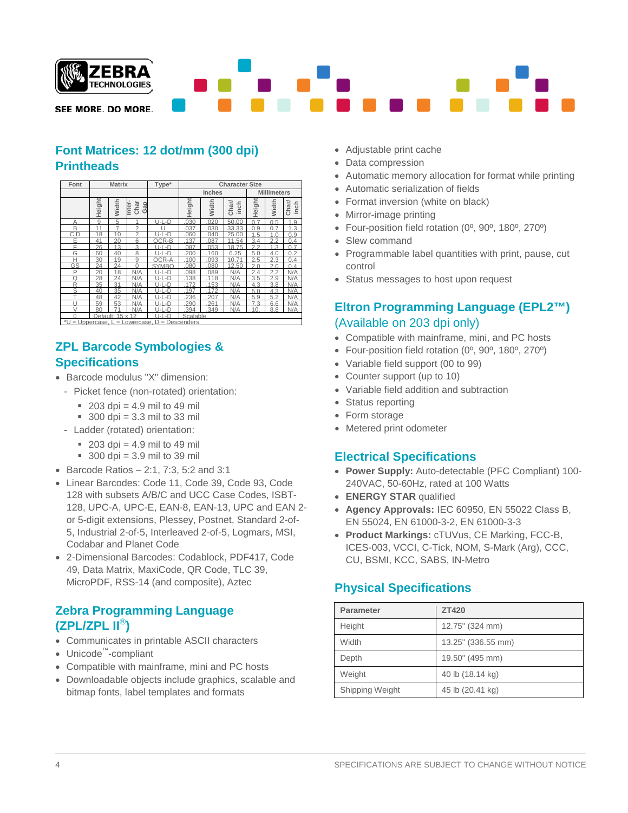

# **Font Matrices: 12 dot/mm (300 dpi) Printheads**

| Font                                                  | <b>Matrix</b> |                  |                     | Type*                | <b>Character Size</b> |       |              |                    |                |                            |
|-------------------------------------------------------|---------------|------------------|---------------------|----------------------|-----------------------|-------|--------------|--------------------|----------------|----------------------------|
|                                                       |               |                  |                     |                      | <b>Inches</b>         |       |              | <b>Millimeters</b> |                |                            |
|                                                       | Height        | Width            | Char<br>Gap<br>mter |                      | Height                | Width | Charl<br>nch | Height             | Width          | Char/<br>inch              |
| А                                                     | 9             | 5                | 1                   | U-L-D                | 030                   | 020   | 50.00        | 07                 | 0.5            | .9                         |
| B                                                     | 11            | 7                | $\mathfrak{D}$      |                      | 037                   | 030   | 33.33        | 0.9                | 07             | .3<br>1                    |
| C.D                                                   | 18            | 10               | $\overline{2}$      | 11-1 -D              | 060                   | 040   | 25.00        | 1.5                | 1 <sub>0</sub> | 0.9                        |
| E                                                     | 41            | 20               | 6                   | OCR-B                | .137                  | .087  | 11.54        | 3.4                | 2.2            | 0.4                        |
| F                                                     | 26            | 13               | 3                   | $\text{-}\mathsf{D}$ | 087                   | 053   | 18.75        | 22                 | 1.3            | 7<br>$\cap$                |
| G                                                     | 60            | 40               | 8                   | U-L-D                | 200                   | 160   | 6.25         | 5.0                | 4.0            | $\mathcal{P}$<br>0         |
| Н                                                     | 30            | 19               | 9                   | OCR-A                | 100                   | 093   | 71<br>10.    | 25                 | 23             | 04                         |
| GS                                                    | 24            | 24               | $\Omega$            | <b>SYMBO</b>         | 080                   | 080   | 12.50        | 2.0                | 2.0            | $\Omega$<br>$\overline{A}$ |
| P                                                     | 20            | 18               | N/A                 | -D<br>1 I-I          | 098                   | 089   | N/A          | 2.4                | 2.2            | N/A                        |
| Ω                                                     | 28            | 24               | N/A                 | 11-1 -D              | 138                   | 118   | N/A          | 3.5                | 2.9            | N/A                        |
| R                                                     | 35            | 31               | N/A                 | U-L-D                | 172                   | .153  | N/A          | 4.3                | 3.8            | N/A                        |
| S.                                                    | 40            | 35               | N/A                 | 11-1 -D              | 197                   | 172   | N/A          | 5.0                | 4.3            | N/A                        |
|                                                       | 48            | 42               | N/A                 | 11-1 -D              | 236                   | 207   | N/A          | 5.9                | 5.2            | N/A                        |
|                                                       | 59            | 53               | N/A                 | -D<br>1 I-I          | 290                   | 261   | N/A          | 73                 | 6.6            | N/A                        |
| $\vee$                                                | 80            | 71               | N/A                 | U-L-D                | .394                  | .349  | N/A          | 10.                | 8.8            | N/A                        |
|                                                       |               | Default: 15 x 12 |                     | $-D$<br>l I-I        | Scalable              |       |              |                    |                |                            |
| *U = Uppercase.<br>$D =$ Descenders<br>$=$ Lowercase. |               |                  |                     |                      |                       |       |              |                    |                |                            |

# **ZPL Barcode Symbologies & Specifications**

- Barcode modulus "X" dimension:
- Picket fence (non-rotated) orientation:
	- $203$  dpi = 4.9 mil to 49 mil
	- $\approx$  300 dpi = 3.3 mil to 33 mil
- Ladder (rotated) orientation:
	- $\approx$  203 dpi = 4.9 mil to 49 mil
	- $\approx$  300 dpi = 3.9 mil to 39 mil
- Barcode Ratios 2:1, 7:3, 5:2 and 3:1
- Linear Barcodes: Code 11, Code 39, Code 93, Code 128 with subsets A/B/C and UCC Case Codes, ISBT-128, UPC-A, UPC-E, EAN-8, EAN-13, UPC and EAN 2 or 5-digit extensions, Plessey, Postnet, Standard 2-of-5, Industrial 2-of-5, Interleaved 2-of-5, Logmars, MSI, Codabar and Planet Code
- 2-Dimensional Barcodes: Codablock, PDF417, Code 49, Data Matrix, MaxiCode, QR Code, TLC 39, MicroPDF, RSS-14 (and composite), Aztec

# **Zebra Programming Language (ZPL/ZPL II**®**)**

- Communicates in printable ASCII characters
- Unicode™-compliant
- Compatible with mainframe, mini and PC hosts
- Downloadable objects include graphics, scalable and bitmap fonts, label templates and formats
- Adjustable print cache
- Data compression
- Automatic memory allocation for format while printing
- Automatic serialization of fields
- Format inversion (white on black)
- Mirror-image printing
- Four-position field rotation (0º, 90º, 180º, 270º)
- Slew command
- Programmable label quantities with print, pause, cut control
- Status messages to host upon request

# **Eltron Programming Language (EPL2™)** (Available on 203 dpi only)

- Compatible with mainframe, mini, and PC hosts
- Four-position field rotation (0º, 90º, 180º, 270º)
- Variable field support (00 to 99)
- Counter support (up to 10)
- Variable field addition and subtraction
- Status reporting
- Form storage
- Metered print odometer

### **Electrical Specifications**

- **Power Supply:** Auto-detectable (PFC Compliant) 100- 240VAC, 50-60Hz, rated at 100 Watts
- **ENERGY STAR** qualified
- **Agency Approvals:** IEC 60950, EN 55022 Class B, EN 55024, EN 61000-3-2, EN 61000-3-3
- **Product Markings:** cTUVus, CE Marking, FCC-B, ICES-003, VCCI, C-Tick, NOM, S-Mark (Arg), CCC, CU, BSMI, KCC, SABS, IN-Metro

# **Physical Specifications**

| <b>Parameter</b> | <b>ZT420</b>       |
|------------------|--------------------|
| Height           | 12.75" (324 mm)    |
| Width            | 13.25" (336.55 mm) |
| Depth            | 19.50" (495 mm)    |
| Weight           | 40 lb (18.14 kg)   |
| Shipping Weight  | 45 lb (20.41 kg)   |